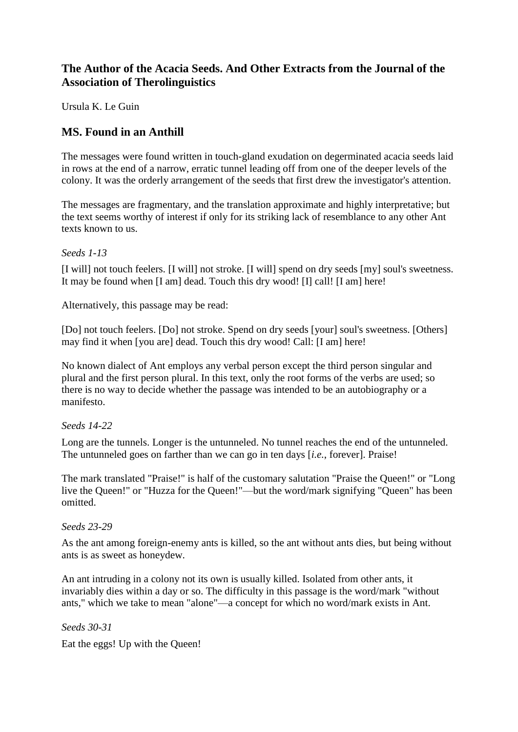# **The Author of the Acacia Seeds. And Other Extracts from the Journal of the Association of Therolinguistics**

Ursula K. Le Guin

# **MS. Found in an Anthill**

The messages were found written in touch-gland exudation on degerminated acacia seeds laid in rows at the end of a narrow, erratic tunnel leading off from one of the deeper levels of the colony. It was the orderly arrangement of the seeds that first drew the investigator's attention.

The messages are fragmentary, and the translation approximate and highly interpretative; but the text seems worthy of interest if only for its striking lack of resemblance to any other Ant texts known to us.

## *Seeds 1-13*

[I will] not touch feelers. [I will] not stroke. [I will] spend on dry seeds [my] soul's sweetness. It may be found when [I am] dead. Touch this dry wood! [I] call! [I am] here!

Alternatively, this passage may be read:

[Do] not touch feelers. [Do] not stroke. Spend on dry seeds [your] soul's sweetness. [Others] may find it when [you are] dead. Touch this dry wood! Call: [I am] here!

No known dialect of Ant employs any verbal person except the third person singular and plural and the first person plural. In this text, only the root forms of the verbs are used; so there is no way to decide whether the passage was intended to be an autobiography or a manifesto.

*Seeds 14-22*

Long are the tunnels. Longer is the untunneled. No tunnel reaches the end of the untunneled. The untunneled goes on farther than we can go in ten days [*i.e.*, forever]. Praise!

The mark translated "Praise!" is half of the customary salutation "Praise the Queen!" or "Long live the Queen!" or "Huzza for the Queen!"—but the word/mark signifying "Queen" has been omitted.

### *Seeds 23-29*

As the ant among foreign-enemy ants is killed, so the ant without ants dies, but being without ants is as sweet as honeydew.

An ant intruding in a colony not its own is usually killed. Isolated from other ants, it invariably dies within a day or so. The difficulty in this passage is the word/mark "without ants," which we take to mean "alone"—a concept for which no word/mark exists in Ant.

*Seeds 30-31* Eat the eggs! Up with the Queen!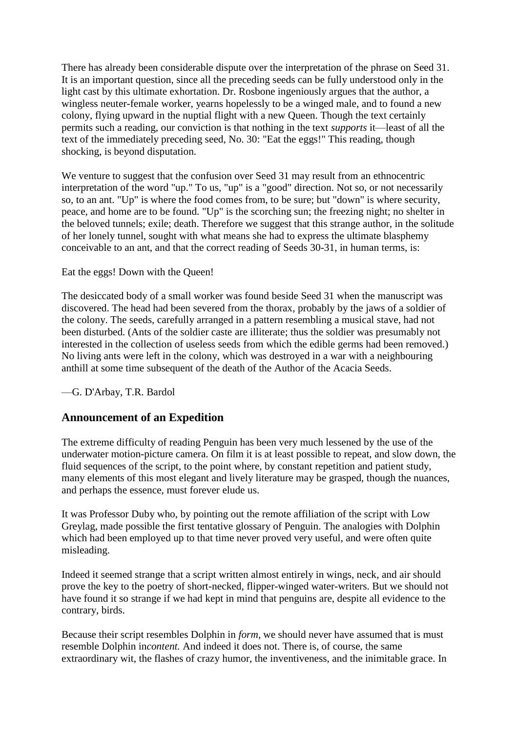There has already been considerable dispute over the interpretation of the phrase on Seed 31. It is an important question, since all the preceding seeds can be fully understood only in the light cast by this ultimate exhortation. Dr. Rosbone ingeniously argues that the author, a wingless neuter-female worker, yearns hopelessly to be a winged male, and to found a new colony, flying upward in the nuptial flight with a new Queen. Though the text certainly permits such a reading, our conviction is that nothing in the text *supports* it—least of all the text of the immediately preceding seed, No. 30: "Eat the eggs!" This reading, though shocking, is beyond disputation.

We venture to suggest that the confusion over Seed 31 may result from an ethnocentric interpretation of the word "up." To us, "up" is a "good" direction. Not so, or not necessarily so, to an ant. "Up" is where the food comes from, to be sure; but "down" is where security, peace, and home are to be found. "Up" is the scorching sun; the freezing night; no shelter in the beloved tunnels; exile; death. Therefore we suggest that this strange author, in the solitude of her lonely tunnel, sought with what means she had to express the ultimate blasphemy conceivable to an ant, and that the correct reading of Seeds 30-31, in human terms, is:

#### Eat the eggs! Down with the Queen!

The desiccated body of a small worker was found beside Seed 31 when the manuscript was discovered. The head had been severed from the thorax, probably by the jaws of a soldier of the colony. The seeds, carefully arranged in a pattern resembling a musical stave, had not been disturbed. (Ants of the soldier caste are illiterate; thus the soldier was presumably not interested in the collection of useless seeds from which the edible germs had been removed.) No living ants were left in the colony, which was destroyed in a war with a neighbouring anthill at some time subsequent of the death of the Author of the Acacia Seeds.

### —G. D'Arbay, T.R. Bardol

## **Announcement of an Expedition**

The extreme difficulty of reading Penguin has been very much lessened by the use of the underwater motion-picture camera. On film it is at least possible to repeat, and slow down, the fluid sequences of the script, to the point where, by constant repetition and patient study, many elements of this most elegant and lively literature may be grasped, though the nuances, and perhaps the essence, must forever elude us.

It was Professor Duby who, by pointing out the remote affiliation of the script with Low Greylag, made possible the first tentative glossary of Penguin. The analogies with Dolphin which had been employed up to that time never proved very useful, and were often quite misleading.

Indeed it seemed strange that a script written almost entirely in wings, neck, and air should prove the key to the poetry of short-necked, flipper-winged water-writers. But we should not have found it so strange if we had kept in mind that penguins are, despite all evidence to the contrary, birds.

Because their script resembles Dolphin in *form,* we should never have assumed that is must resemble Dolphin in*content.* And indeed it does not. There is, of course, the same extraordinary wit, the flashes of crazy humor, the inventiveness, and the inimitable grace. In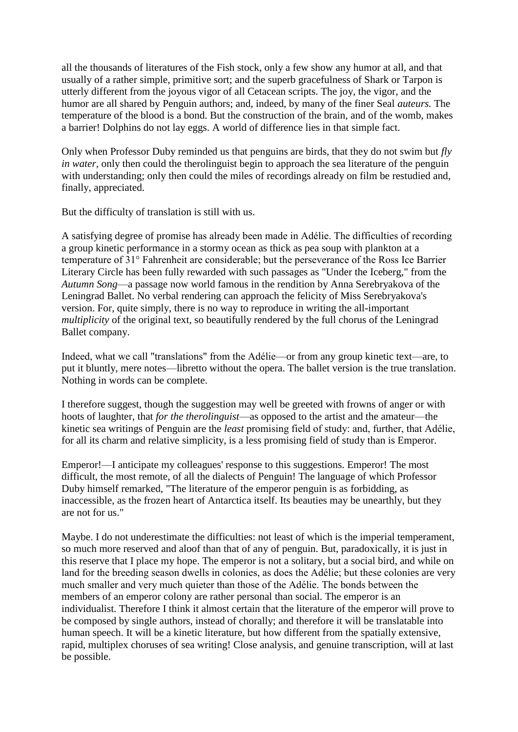all the thousands of literatures of the Fish stock, only a few show any humor at all, and that usually of a rather simple, primitive sort; and the superb gracefulness of Shark or Tarpon is utterly different from the joyous vigor of all Cetacean scripts. The joy, the vigor, and the humor are all shared by Penguin authors; and, indeed, by many of the finer Seal *auteurs.* The temperature of the blood is a bond. But the construction of the brain, and of the womb, makes a barrier! Dolphins do not lay eggs. A world of difference lies in that simple fact.

Only when Professor Duby reminded us that penguins are birds, that they do not swim but *fly in water,* only then could the therolinguist begin to approach the sea literature of the penguin with understanding; only then could the miles of recordings already on film be restudied and, finally, appreciated.

But the difficulty of translation is still with us.

A satisfying degree of promise has already been made in Adélie. The difficulties of recording a group kinetic performance in a stormy ocean as thick as pea soup with plankton at a temperature of 31° Fahrenheit are considerable; but the perseverance of the Ross Ice Barrier Literary Circle has been fully rewarded with such passages as "Under the Iceberg," from the *Autumn Song*—a passage now world famous in the rendition by Anna Serebryakova of the Leningrad Ballet. No verbal rendering can approach the felicity of Miss Serebryakova's version. For, quite simply, there is no way to reproduce in writing the all-important *multiplicity* of the original text, so beautifully rendered by the full chorus of the Leningrad Ballet company.

Indeed, what we call "translations" from the Adélie—or from any group kinetic text—are, to put it bluntly, mere notes—libretto without the opera. The ballet version is the true translation. Nothing in words can be complete.

I therefore suggest, though the suggestion may well be greeted with frowns of anger or with hoots of laughter, that *for the therolinguist*—as opposed to the artist and the amateur—the kinetic sea writings of Penguin are the *least* promising field of study: and, further, that Adélie, for all its charm and relative simplicity, is a less promising field of study than is Emperor.

Emperor!—I anticipate my colleagues' response to this suggestions. Emperor! The most difficult, the most remote, of all the dialects of Penguin! The language of which Professor Duby himself remarked, "The literature of the emperor penguin is as forbidding, as inaccessible, as the frozen heart of Antarctica itself. Its beauties may be unearthly, but they are not for us."

Maybe. I do not underestimate the difficulties: not least of which is the imperial temperament, so much more reserved and aloof than that of any of penguin. But, paradoxically, it is just in this reserve that I place my hope. The emperor is not a solitary, but a social bird, and while on land for the breeding season dwells in colonies, as does the Adélie; but these colonies are very much smaller and very much quieter than those of the Adélie. The bonds between the members of an emperor colony are rather personal than social. The emperor is an individualist. Therefore I think it almost certain that the literature of the emperor will prove to be composed by single authors, instead of chorally; and therefore it will be translatable into human speech. It will be a kinetic literature, but how different from the spatially extensive, rapid, multiplex choruses of sea writing! Close analysis, and genuine transcription, will at last be possible.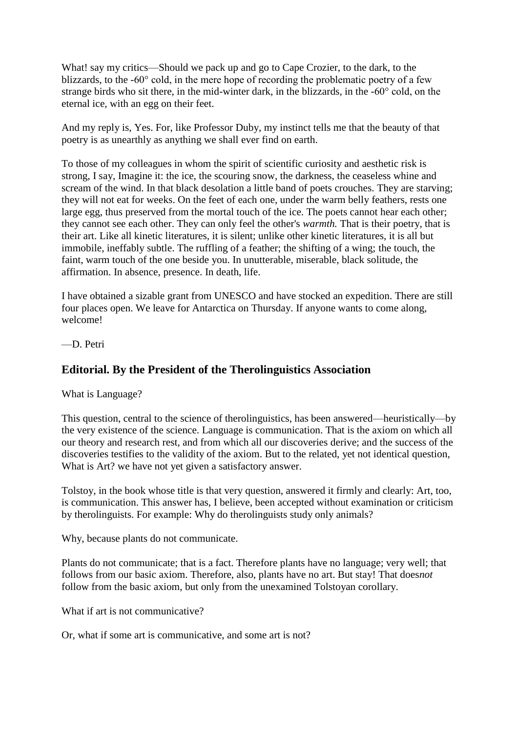What! say my critics—Should we pack up and go to Cape Crozier, to the dark, to the blizzards, to the -60° cold, in the mere hope of recording the problematic poetry of a few strange birds who sit there, in the mid-winter dark, in the blizzards, in the -60° cold, on the eternal ice, with an egg on their feet.

And my reply is, Yes. For, like Professor Duby, my instinct tells me that the beauty of that poetry is as unearthly as anything we shall ever find on earth.

To those of my colleagues in whom the spirit of scientific curiosity and aesthetic risk is strong, I say, Imagine it: the ice, the scouring snow, the darkness, the ceaseless whine and scream of the wind. In that black desolation a little band of poets crouches. They are starving; they will not eat for weeks. On the feet of each one, under the warm belly feathers, rests one large egg, thus preserved from the mortal touch of the ice. The poets cannot hear each other; they cannot see each other. They can only feel the other's *warmth.* That is their poetry, that is their art. Like all kinetic literatures, it is silent; unlike other kinetic literatures, it is all but immobile, ineffably subtle. The ruffling of a feather; the shifting of a wing; the touch, the faint, warm touch of the one beside you. In unutterable, miserable, black solitude, the affirmation. In absence, presence. In death, life.

I have obtained a sizable grant from UNESCO and have stocked an expedition. There are still four places open. We leave for Antarctica on Thursday. If anyone wants to come along, welcome!

—D. Petri

## **Editorial. By the President of the Therolinguistics Association**

What is Language?

This question, central to the science of therolinguistics, has been answered—heuristically—by the very existence of the science. Language is communication. That is the axiom on which all our theory and research rest, and from which all our discoveries derive; and the success of the discoveries testifies to the validity of the axiom. But to the related, yet not identical question, What is Art? we have not yet given a satisfactory answer.

Tolstoy, in the book whose title is that very question, answered it firmly and clearly: Art, too, is communication. This answer has, I believe, been accepted without examination or criticism by therolinguists. For example: Why do therolinguists study only animals?

Why, because plants do not communicate.

Plants do not communicate; that is a fact. Therefore plants have no language; very well; that follows from our basic axiom. Therefore, also, plants have no art. But stay! That does*not* follow from the basic axiom, but only from the unexamined Tolstoyan corollary.

What if art is not communicative?

Or, what if some art is communicative, and some art is not?